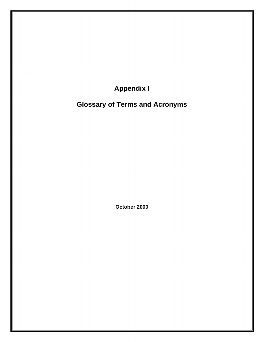**Appendix I** 

**Glossary of Terms and Acronyms** 

**October 2000**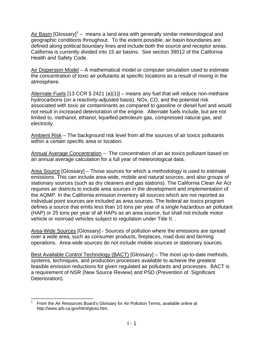Air Basin [Glossary]<sup>1</sup> – means a land area with generally similar meteorological and geographic conditions throughout. To the extent possible, air basin boundaries are defined along political boundary lines and include both the source and receptor areas. California is currently divided into 15 air basins. See section 39012 of the California Health and Safety Code.

Air Dispersion Model – A mathematical model or computer simulation used to estimate the concentration of toxic air pollutants at specific locations as a result of mixing in the atmosphere.

Alternate Fuels [13 CCR  $\S$  2421 (a)(1)] – means any fuel that will reduce non-methane hydrocarbons (on a reactivity-adjusted basis), NOx, CO, and the potential risk associated with toxic air contaminants as compared to gasoline or diesel fuel and would not result in increased deterioration of the engine. Alternate fuels include, but are not limited to, methanol, ethanol, liquefied petroleum gas, compressed natural gas, and electricity.

Ambient Risk – The background risk level from all the sources of air toxics pollutants within a certain specific area or location.

Annual Average Concentration – The concentration of an air toxics pollutant based on an annual average calculation for a full year of meteorological data.

Area Source [Glossary] – Those sources for which a methodology is used to estimate emissions. This can include area-wide, mobile and natural sources, and also groups of stationary sources (such as dry cleaners and gas stations). The California Clean Air Act requires air districts to include area sources in the development and implementation of the AQMP. In the California emission inventory all sources which are not reported as individual point sources are included as area sources. The federal air toxics program defines a source that emits less than 10 tons per year of a single hazardous air pollutant (HAP) or 25 tons per year of all HAPs as an area source, but shall not include motor vehicle or nonroad vehicles subject to regulation under Title II. .

Area-Wide Sources [Glossary] - Sources of pollution where the emissions are spread over a wide area, such as consumer products, fireplaces, road dust and farming operations. Area-wide sources do not include mobile sources or stationary sources.

Best Available Control Technology (BACT) [Glossary] – The most up-to-date methods, systems, techniques, and production processes available to achieve the greatest feasible emission reductions for given regulated air pollutants and processes. BACT is a requirement of NSR (New Source Review) and PSD (Prevention of Significant Deterioration).

 $\frac{1}{2}$ From the Air Resources Board's Glossary for Air Pollution Terms, available online at [http://www.arb.ca.gov/html/gloss.htm.](http://www.arb.ca.gov/html/gloss.htm) 1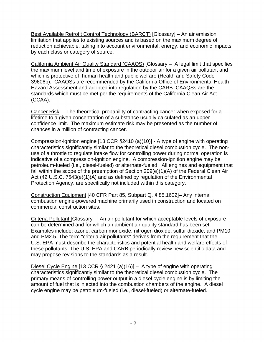Best Available Retrofit Control Technology (BARCT) [Glossary] – An air emission limitation that applies to existing sources and is based on the maximum degree of reduction achievable, taking into account environmental, energy, and economic impacts by each class or category of source.

California Ambient Air Quality Standard (CAAQS) [Glossary – A legal limit that specifies the maximum level and time of exposure in the outdoor air for a given air pollutant and which is protective of human health and public welfare (Health and Safety Code 39606b). CAAQSs are recommended by the California Office of Environmental Health Hazard Assessment and adopted into regulation by the CARB. CAAQSs are the standards which must be met per the requirements of the California Clean Air Act (CCAA).

Cancer Risk – The theoretical probability of contracting cancer when exposed for a lifetime to a given concentration of a substance usually calculated as an upper confidence limit. The maximum estimate risk may be presented as the number of chances in a million of contracting cancer.

Compression-ignition engine [13 CCR §2410 (a)(10)] - A type of engine with operating characteristics significantly similar to the theoretical diesel combustion cycle. The nonuse of a throttle to regulate intake flow for controlling power during normal operation is indicative of a compression-ignition engine. A compression-ignition engine may be petroleum-fueled (i.e., diesel-fueled) or alternate-fueled. All engines and equipment that fall within the scope of the preemption of Section 209(e)(1)(A) of the Federal Clean Air Act (42 U.S.C. 7543(e)(1)(A) and as defined by regulation of the Environmental Protection Agency, are specifically not included within this category.

Construction Equipment [40 CFR Part 85, Subpart Q, § 85.1602]– Any internal combustion engine-powered machine primarily used in construction and located on commercial construction sites.

Criteria Pollutant [Glossary – An air pollutant for which acceptable levels of exposure can be determined and for which an ambient air quality standard has been set. Examples include: ozone, carbon monoxide, nitrogen dioxide, sulfur dioxide, and PM10 and PM2.5. The term "criteria air pollutants" derives from the requirement that the U.S. EPA must describe the characteristics and potential health and welfare effects of these pollutants. The U.S. EPA and CARB periodically review new scientific data and may propose revisions to the standards as a result.

Diesel Cycle Engine [13 CCR § 2421 (a)(16)] – A type of engine with operating characteristics significantly similar to the theoretical diesel combustion cycle. The primary means of controlling power output in a diesel cycle engine is by limiting the amount of fuel that is injected into the combustion chambers of the engine. A diesel cycle engine may be petroleum-fueled (i.e., diesel-fueled) or alternate-fueled.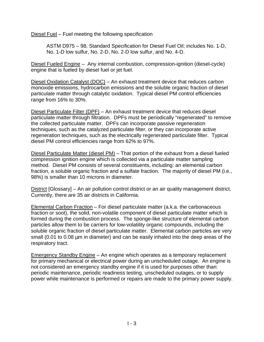Diesel Fuel – Fuel meeting the following specification

ASTM D975 – 98, Standard Specification for Diesel Fuel Oil; includes No. 1-D, No. 1-D low sulfur, No. 2-D, No. 2-D low sulfur, and No. 4-D.

Diesel Fueled Engine – Any internal combustion, compression-ignition (diesel-cycle) engine that is fueled by diesel fuel or jet fuel.

Diesel Oxidation Catalyst (DOC) - An exhaust treatment device that reduces carbon monoxide emissions, hydrocarbon emissions and the soluble organic fraction of diesel particulate matter through catalytic oxidation. Typical diesel PM control efficiencies range from 16% to 30%.

Diesel Particulate Filter (DPF) – An exhaust treatment device that reduces diesel particulate matter through filtration. DPFs must be periodically "regenerated" to remove the collected particulate matter. DPFs can incorporate passive regeneration techniques, such as the catalyzed particulate filter, or they can incorporate active regeneration techniques, such as the electrically regenerated particulate filter. Typical diesel PM control efficiencies range from 62% to 97%.

Diesel Particulate Matter (diesel PM) – That portion of the exhaust from a diesel fueled compression ignition engine which is collected via a particulate matter sampling method. Diesel PM consists of several constituents, including: an elemental carbon fraction, a soluble organic fraction and a sulfate fraction. The majority of diesel PM (i.e., 98%) is smaller than 10 microns in diameter.

District [Glossary] – An air pollution control district or an air quality management district. Currently, there are 35 air districts in California.

Elemental Carbon Fraction – For diesel particulate matter (a.k.a. the carbonaceous fraction or soot), the solid, non-volatile component of diesel particulate matter which is formed during the combustion process. The sponge-like structure of elemental carbon particles allow them to be carriers for low-volatility organic compounds, including the soluble organic fraction of diesel particulate matter. Elemental carbon particles are very small (0.01 to 0.08  $\mu$ m in diameter) and can be easily inhaled into the deep areas of the respiratory tract.

Emergency Standby Engine – An engine which operates as a temporary replacement for primary mechanical or electrical power during an unscheduled outage. An engine is not considered an emergency standby engine if it is used for purposes other than: periodic maintenance, periodic readiness testing, unscheduled outages, or to supply power while maintenance is performed or repairs are made to the primary power supply.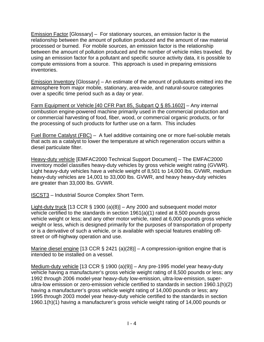Emission Factor [Glossary] – For stationary sources, an emission factor is the relationship between the amount of pollution produced and the amount of raw material processed or burned. For mobile sources, an emission factor is the relationship between the amount of pollution produced and the number of vehicle miles traveled. By using an emission factor for a pollutant and specific source activity data, it is possible to compute emissions from a source. This approach is used in preparing emissions inventories.

Emission Inventory [Glossary] – An estimate of the amount of pollutants emitted into the atmosphere from major mobile, stationary, area-wide, and natural-source categories over a specific time period such as a day or year.

Farm Equipment or Vehicle [40 CFR Part 85, Subpart Q § 85.1602] – Any internal combustion engine-powered machine primarily used in the commercial production and or commercial harvesting of food, fiber, wood, or commercial organic products, or for the processing of such products for further use on a farm. This includes

Fuel Borne Catalyst (FBC) – A fuel additive containing one or more fuel-soluble metals that acts as a catalyst to lower the temperature at which regeneration occurs within a diesel particulate filter.

Heavy-duty vehicle [EMFAC2000 Technical Support Document] – The EMFAC2000 inventory model classifies heavy-duty vehicles by gross vehicle weight rating (GVWR). Light heavy-duty vehicles have a vehicle weight of 8,501 to 14,000 lbs. GVWR, medium heavy-duty vehicles are 14,001 to 33,000 lbs. GVWR, and heavy heavy-duty vehicles are greater than 33,000 lbs. GVWR.

ISCST3 – Industrial Source Complex Short Term.

Light-duty truck [13 CCR § 1900 (a)(8)] – Any 2000 and subsequent model motor vehicle certified to the standards in section 1961(a)(1) rated at 8,500 pounds gross vehicle weight or less; and any other motor vehicle, rated at 6,000 pounds gross vehicle weight or less, which is designed primarily for the purposes of transportation of property or is a derivative of such a vehicle, or is available with special features enabling offstreet or off-highway operation and use.

Marine diesel engine [13 CCR  $\S$  2421 (a)(28)] – A compression-ignition engine that is intended to be installed on a vessel.

Medium-duty vehicle [13 CCR § 1900 (a)(9)] – Any pre-1995 model year heavy-duty vehicle having a manufacturer's gross vehicle weight rating of 8,500 pounds or less; any 1992 through 2006 model-year heavy-duty low-emission, ultra-low-emission, superultra-low emission or zero-emission vehicle certified to standards in section 1960.1(h)(2) having a manufacturer's gross vehicle weight rating of 14,000 pounds or less; any 1995 through 2003 model year heavy-duty vehicle certified to the standards in section 1960.1(h)(1) having a manufacturer's gross vehicle weight rating of 14,000 pounds or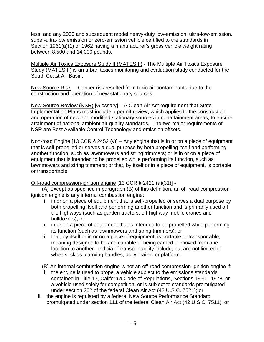less; and any 2000 and subsequent model heavy-duty low-emission, ultra-low-emission, super-ultra-low emission or zero-emission vehicle certified to the standards in Section 1961(a)(1) or 1962 having a manufacturer's gross vehicle weight rating between 8,500 and 14,000 pounds.

Multiple Air Toxics Exposure Study II (MATES II) - The Multiple Air Toxics Exposure Study (MATES-II) is an urban toxics monitoring and evaluation study conducted for the South Coast Air Basin.

New Source Risk – Cancer risk resulted from toxic air contaminants due to the construction and operation of new stationary sources.

New Source Review (NSR) [Glossary] – A Clean Air Act requirement that State Implementation Plans must include a permit review, which applies to the construction and operation of new and modified stationary sources in nonattainment areas, to ensure attainment of national ambient air quality standards. The two major requirements of NSR are Best Available Control Technology and emission offsets.

Non-road Engine [13 CCR  $\S$  2452 (v)] – Any engine that is in or on a piece of equipment that is self-propelled or serves a dual purpose by both propelling itself and performing another function, such as lawnmowers and string trimmers; or is in or on a piece of equipment that is intended to be propelled while performing its function, such as lawnmowers and string trimmers; or that, by itself or in a piece of equipment, is portable or transportable.

Off-road compression-ignition engine [13 CCR § 2421 (a)(31)] -

(A) Except as specified in paragraph (B) of this definition, an off-road compressionignition engine is any internal combustion engine:

- i. in or on a piece of equipment that is self-propelled or serves a dual purpose by both propelling itself and performing another function and is primarily used off the highways (such as garden tractors, off-highway mobile cranes and bulldozers); or
- ii. in or on a piece of equipment that is intended to be propelled while performing its function (such as lawnmowers and string trimmers); or
- iii. that, by itself or in or on a piece of equipment, is portable or transportable, meaning designed to be and capable of being carried or moved from one location to another. Indicia of transportability include, but are not limited to wheels, skids, carrying handles, dolly, trailer, or platform.
- (B) An internal combustion engine is not an off-road compression-ignition engine if:
- i. the engine is used to propel a vehicle subject to the emissions standards contained in Title 13, California Code of Regulations, Sections 1950 - 1978, or a vehicle used solely for competition, or is subject to standards promulgated under section 202 of the federal Clean Air Act (42 U.S.C. 7521); or
- ii. the engine is regulated by a federal New Source Performance Standard promulgated under section 111 of the federal Clean Air Act (42 U.S.C. 7511); or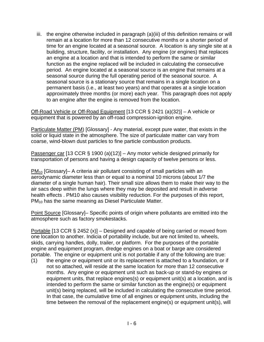iii. the engine otherwise included in paragraph (a)(iii) of this definition remains or will remain at a location for more than 12 consecutive months or a shorter period of time for an engine located at a seasonal source. A location is any single site at a building, structure, facility, or installation. Any engine (or engines) that replaces an engine at a location and that is intended to perform the same or similar function as the engine replaced will be included in calculating the consecutive period. An engine located at a seasonal source is an engine that remains at a seasonal source during the full operating period of the seasonal source. A seasonal source is a stationary source that remains in a single location on a permanent basis (i.e., at least two years) and that operates at a single location approximately three months (or more) each year. This paragraph does not apply to an engine after the engine is removed from the location.

Off-Road Vehicle or Off-Road Equipment [13 CCR § 2421 (a)(32)] – A vehicle or equipment that is powered by an off-road compression-ignition engine.

Particulate Matter (PM) [Glossary] - Any material, except pure water, that exists in the solid or liquid state in the atmosphere. The size of particulate matter can vary from coarse, wind-blown dust particles to fine particle combustion products.

Passenger car [13 CCR § 1900 (a)(12)] – Any motor vehicle designed primarily for transportation of persons and having a design capacity of twelve persons or less.

PM<sub>10</sub> [Glossary]– A criteria air pollutant consisting of small particles with an aerodynamic diameter less than or equal to a nominal 10 microns (about 1/7 the diameter of a single human hair). Their small size allows them to make their way to the air sacs deep within the lungs where they may be deposited and result in adverse health effects . PM10 also causes visibility reduction. For the purposes of this report, PM<sub>10</sub> has the same meaning as Diesel Particulate Matter.

Point Source [Glossary]– Specific points of origin where pollutants are emitted into the atmosphere such as factory smokestacks.

Portable [13 CCR § 2452 (x)] – Designed and capable of being carried or moved from one location to another. Indicia of portability include, but are not limited to, wheels, skids, carrying handles, dolly, trailer, or platform. For the purposes of the portable engine and equipment program, dredge engines on a boat or barge are considered portable. The engine or equipment unit is not portable if any of the following are true:

(1) the engine or equipment unit or its replacement is attached to a foundation, or if not so attached, will reside at the same location for more than 12 consecutive months. Any engine or equipment unit such as back-up or stand-by engines or equipment units, that replace engines(s) or equipment unit(s) at a location, and is intended to perform the same or similar function as the engine(s) or equipment unit(s) being replaced, will be included in calculating the consecutive time period. In that case, the cumulative time of all engines or equipment units, including the time between the removal of the replacement engine(s) or equipment unit(s), will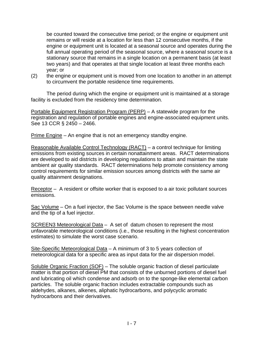be counted toward the consecutive time period; or the engine or equipment unit remains or will reside at a location for less than 12 consecutive months, if the engine or equipment unit is located at a seasonal source and operates during the full annual operating period of the seasonal source, where a seasonal source is a stationary source that remains in a single location on a permanent basis (at least two years) and that operates at that single location at least three months each year; or

(2) the engine or equipment unit is moved from one location to another in an attempt to circumvent the portable residence time requirements.

The period during which the engine or equipment unit is maintained at a storage facility is excluded from the residency time determination.

Portable Equipment Registration Program (PERP) – A statewide program for the registration and regulation of portable engines and engine-associated equipment units. See 13 CCR § 2450 – 2466.

Prime Engine – An engine that is not an emergency standby engine.

Reasonable Available Control Technology (RACT) – a control technique for limiting emissions from existing sources in certain nonattainment areas. RACT determinations are developed to aid districts in developing regulations to attain and maintain the state ambient air quality standards. RACT determinations help promote consistency among control requirements for similar emission sources among districts with the same air quality attainment designations.

Receptor – A resident or offsite worker that is exposed to a air toxic pollutant sources emissions.

Sac Volume – On a fuel injector, the Sac Volume is the space between needle valve and the tip of a fuel injector.

SCREEN3 Meteorological Data – A set of datum chosen to represent the most unfavorable meteorological conditions (i.e., those resulting in the highest concentration estimates) to simulate the worst case scenario.

Site-Specific Meteorological Data – A minimum of 3 to 5 years collection of meteorological data for a specific area as input data for the air dispersion model.

Soluble Organic Fraction (SOF) – The soluble organic fraction of diesel particulate matter is that portion of diesel PM that consists of the unburned portions of diesel fuel and lubricating oil which condense and adsorb on to the sponge-like elemental carbon particles. The soluble organic fraction includes extractable compounds such as aldehydes, alkanes, alkenes, aliphatic hydrocarbons, and polycyclic aromatic hydrocarbons and their derivatives.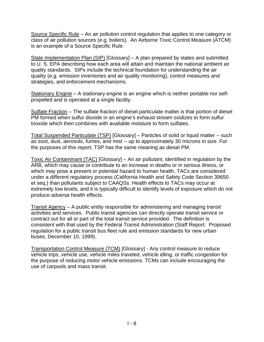Source Specific Rule – An air pollution control regulation that applies to one category or class of air pollution sources (e.g. boilers). An Airborne Toxic Control Measure (ATCM) is an example of a Source Specific Rule.

State Implementation Plan (SIP) [Glossary] – A plan prepared by states and submitted to U. S. EPA describing how each area will attain and maintain the national ambient air quality standards. SIPs include the technical foundation for understanding the air quality (e.g. emission inventories and air quality monitoring), control measures and strategies, and enforcement mechanisms.

Stationary Engine – A stationary engine is an engine which is neither portable nor selfpropelled and is operated at a single facility.

Sulfate Fraction - The sulfate fraction of diesel particulate matter is that portion of diesel PM formed when sulfur dioxide in an engine's exhaust stream oxidizes to form sulfur trioxide which then combines with available moisture to form sulfates.

Total Suspended Particulate (TSP) [Glossary] – Particles of solid or liquid matter -- such as soot, dust, aerosols, fumes, and mist -- up to approximately 30 microns in size. For the purposes of this report, TSP has the same meaning as diesel PM.

Toxic Air Contaminant (TAC) [Glossary] – An air pollutant, identified in regulation by the ARB, which may cause or contribute to an increase in deaths or in serious illness, or which may pose a present or potential hazard to human health. TACs are considered under a different regulatory process (California Health and Safety Code Section 39650 et seq.) than pollutants subject to CAAQSs. Health effects to TACs may occur at extremely low levels, and it is typically difficult to identify levels of exposure which do not produce adverse health effects.

Transit Agency – A public entity responsible for administering and managing transit activities and services. Public transit agencies can directly operate transit service or contract out for all or part of the total transit service provided. The definition is consistent with that used by the Federal Transit Administration (Staff Report: Proposed regulation for a public transit bus fleet rule and emission standards for new urban buses, December 10, 1999).

Transportation Control Measure (TCM) [Glossary] - Any control measure to reduce vehicle trips, vehicle use, vehicle miles traveled, vehicle idling, or traffic congestion for the purpose of reducing motor vehicle emissions. TCMs can include encouraging the use of carpools and mass transit.